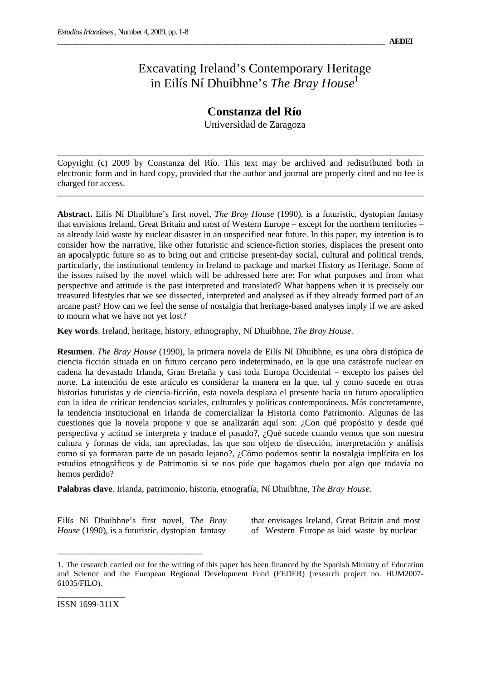## Excavating Ireland's Contemporary Heritage in Eilís Ní Dhuibhne's *The Bray House*<sup>1</sup>

## **Constanza del Río**

Universidad de Zaragoza

Copyright (c) 2009 by Constanza del Río. This text may be archived and redistributed both in electronic form and in hard copy, provided that the author and journal are properly cited and no fee is charged for access.

**Abstract.** Eilís Ní Dhuibhne's first novel, *The Bray House* (1990), is a futuristic, dystopian fantasy that envisions Ireland, Great Britain and most of Western Europe – except for the northern territories – as already laid waste by nuclear disaster in an unspecified near future. In this paper, my intention is to consider how the narrative, like other futuristic and science-fiction stories, displaces the present onto an apocalyptic future so as to bring out and criticise present-day social, cultural and political trends, particularly, the institutional tendency in Ireland to package and market History as Heritage. Some of the issues raised by the novel which will be addressed here are: For what purposes and from what perspective and attitude is the past interpreted and translated? What happens when it is precisely our treasured lifestyles that we see dissected, interpreted and analysed as if they already formed part of an arcane past? How can we feel the sense of nostalgia that heritage-based analyses imply if we are asked to mourn what we have not yet lost?

**Key words**. Ireland, heritage, history, ethnography, Ní Dhuibhne, *The Bray House.*

**Resumen**. *The Bray House* (1990), la primera novela de Eilís Ní Dhuibhne, es una obra distópica de ciencia ficción situada en un futuro cercano pero indeterminado, en la que una catástrofe nuclear en cadena ha devastado Irlanda, Gran Bretaña y casi toda Europa Occidental – excepto los países del norte. La intención de este artículo es considerar la manera en la que, tal y como sucede en otras historias futuristas y de ciencia-ficción, esta novela desplaza el presente hacia un futuro apocalíptico con la idea de criticar tendencias sociales, culturales y políticas contemporáneas. Más concretamente, la tendencia institucional en Irlanda de comercializar la Historia como Patrimonio. Algunas de las cuestiones que la novela propone y que se analizarán aquí son: ¿Con qué propósito y desde qué perspectiva y actitud se interpreta y traduce el pasado?, ¿Qué sucede cuando vemos que son nuestra cultura y formas de vida, tan apreciadas, las que son objeto de disección, interpretación y análisis como si ya formaran parte de un pasado lejano?, ¿Cómo podemos sentir la nostalgia implícita en los estudios etnográficos y de Patrimonio si se nos pide que hagamos duelo por algo que todavía no hemos perdido?

**Palabras clave**. Irlanda, patrimonio, historia, etnografía, Ní Dhuibhne, *The Bray House.*

Eilís Ní Dhuibhne's first novel, *The Bray House* (1990), is a futuristic, dystopian fantasy

\_\_\_\_\_\_\_\_\_\_\_\_\_\_\_\_\_\_\_\_\_\_\_\_\_\_\_\_\_\_\_\_\_\_\_\_

that envisages Ireland, Great Britain and most of Western Europe as laid waste by nuclear

<sup>1.</sup> The research carried out for the writing of this paper has been financed by the Spanish Ministry of Education and Science and the European Regional Development Fund (FEDER) (research project no. HUM2007- 61035/FILO).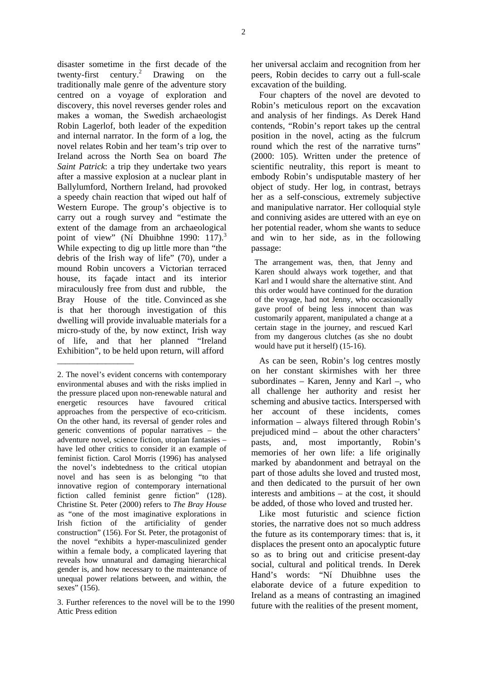disaster sometime in the first decade of the twenty-first century.<sup>2</sup> Drawing on the traditionally male genre of the adventure story centred on a voyage of exploration and discovery, this novel reverses gender roles and makes a woman, the Swedish archaeologist Robin Lagerlof, both leader of the expedition and internal narrator. In the form of a log, the novel relates Robin and her team's trip over to Ireland across the North Sea on board *The Saint Patrick*: a trip they undertake two years after a massive explosion at a nuclear plant in Ballylumford, Northern Ireland, had provoked a speedy chain reaction that wiped out half of Western Europe. The group's objective is to carry out a rough survey and "estimate the extent of the damage from an archaeological point of view" (Ní Dhuibhne 1990: 117).<sup>3</sup> While expecting to dig up little more than "the debris of the Irish way of life" (70), under a mound Robin uncovers a Victorian terraced house, its façade intact and its interior miraculously free from dust and rubble, the Bray House of the title. Convinced as she is that her thorough investigation of this dwelling will provide invaluable materials for a micro-study of the, by now extinct, Irish way of life, and that her planned "Ireland Exhibition", to be held upon return, will afford

\_\_\_\_\_\_\_\_\_\_\_\_\_\_\_\_\_\_\_

her universal acclaim and recognition from her peers, Robin decides to carry out a full-scale excavation of the building.

Four chapters of the novel are devoted to Robin's meticulous report on the excavation and analysis of her findings. As Derek Hand contends, "Robin's report takes up the central position in the novel, acting as the fulcrum round which the rest of the narrative turns" (2000: 105). Written under the pretence of scientific neutrality, this report is meant to embody Robin's undisputable mastery of her object of study. Her log, in contrast, betrays her as a self-conscious, extremely subjective and manipulative narrator. Her colloquial style and conniving asides are uttered with an eye on her potential reader, whom she wants to seduce and win to her side, as in the following passage:

The arrangement was, then, that Jenny and Karen should always work together, and that Karl and I would share the alternative stint. And this order would have continued for the duration of the voyage, had not Jenny, who occasionally gave proof of being less innocent than was customarily apparent, manipulated a change at a certain stage in the journey, and rescued Karl from my dangerous clutches (as she no doubt would have put it herself) (15-16).

As can be seen, Robin's log centres mostly on her constant skirmishes with her three subordinates – Karen, Jenny and Karl –, who all challenge her authority and resist her scheming and abusive tactics. Interspersed with her account of these incidents, comes information – always filtered through Robin's prejudiced mind – about the other characters' pasts, and, most importantly, Robin's memories of her own life: a life originally marked by abandonment and betrayal on the part of those adults she loved and trusted most, and then dedicated to the pursuit of her own interests and ambitions – at the cost, it should be added, of those who loved and trusted her.

Like most futuristic and science fiction stories, the narrative does not so much address the future as its contemporary times: that is, it displaces the present onto an apocalyptic future so as to bring out and criticise present-day social, cultural and political trends. In Derek Hand's words: "Ní Dhuibhne uses the elaborate device of a future expedition to Ireland as a means of contrasting an imagined future with the realities of the present moment,

<sup>2.</sup> The novel's evident concerns with contemporary environmental abuses and with the risks implied in the pressure placed upon non-renewable natural and energetic resources have favoured critical approaches from the perspective of eco-criticism. On the other hand, its reversal of gender roles and generic conventions of popular narratives – the adventure novel, science fiction, utopian fantasies – have led other critics to consider it an example of feminist fiction. Carol Morris (1996) has analysed the novel's indebtedness to the critical utopian novel and has seen is as belonging "to that innovative region of contemporary international fiction called feminist genre fiction" (128). Christine St. Peter (2000) refers to *The Bray House* as "one of the most imaginative explorations in Irish fiction of the artificiality of gender construction" (156). For St. Peter, the protagonist of the novel "exhibits a hyper-masculinized gender within a female body, a complicated layering that reveals how unnatural and damaging hierarchical gender is, and how necessary to the maintenance of unequal power relations between, and within, the sexes" (156).

<sup>3.</sup> Further references to the novel will be to the 1990 Attic Press edition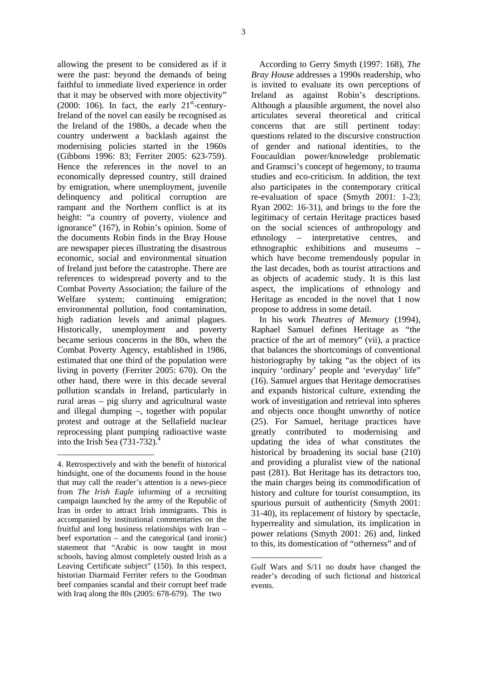allowing the present to be considered as if it were the past: beyond the demands of being faithful to immediate lived experience in order that it may be observed with more objectivity" (2000: 106). In fact, the early  $21<sup>st</sup>$ -century-Ireland of the novel can easily be recognised as the Ireland of the 1980s, a decade when the country underwent a backlash against the modernising policies started in the 1960s (Gibbons 1996: 83; Ferriter 2005: 623-759). Hence the references in the novel to an economically depressed country, still drained by emigration, where unemployment, juvenile delinquency and political corruption are rampant and the Northern conflict is at its height: "a country of poverty, violence and ignorance" (167), in Robin's opinion. Some of the documents Robin finds in the Bray House are newspaper pieces illustrating the disastrous economic, social and environmental situation of Ireland just before the catastrophe. There are references to widespread poverty and to the Combat Poverty Association; the failure of the Welfare system; continuing emigration; environmental pollution, food contamination, high radiation levels and animal plagues. Historically, unemployment and poverty became serious concerns in the 80s, when the Combat Poverty Agency, established in 1986, estimated that one third of the population were living in poverty (Ferriter 2005: 670). On the other hand, there were in this decade several pollution scandals in Ireland, particularly in rural areas – pig slurry and agricultural waste and illegal dumping –, together with popular protest and outrage at the Sellafield nuclear reprocessing plant pumping radioactive waste into the Irish Sea  $(731-732)$ .<sup>4</sup>

\_\_\_\_\_\_\_\_\_\_\_\_\_\_\_\_\_\_\_\_\_\_\_\_

According to Gerry Smyth (1997: 168), *The Bray House* addresses a 1990s readership, who is invited to evaluate its own perceptions of Ireland as against Robin's descriptions. Although a plausible argument, the novel also articulates several theoretical and critical concerns that are still pertinent today: questions related to the discursive construction of gender and national identities, to the Foucauldian power/knowledge problematic and Gramsci's concept of hegemony, to trauma studies and eco-criticism. In addition, the text also participates in the contemporary critical re-evaluation of space (Smyth 2001: 1-23; Ryan 2002: 16-31), and brings to the fore the legitimacy of certain Heritage practices based on the social sciences of anthropology and ethnology – interpretative centres, and ethnographic exhibitions and museums – which have become tremendously popular in the last decades, both as tourist attractions and as objects of academic study. It is this last aspect, the implications of ethnology and Heritage as encoded in the novel that I now propose to address in some detail.

In his work *Theatres of Memory* (1994), Raphael Samuel defines Heritage as "the practice of the art of memory" (vii), a practice that balances the shortcomings of conventional historiography by taking "as the object of its inquiry 'ordinary' people and 'everyday' life" (16). Samuel argues that Heritage democratises and expands historical culture, extending the work of investigation and retrieval into spheres and objects once thought unworthy of notice (25). For Samuel, heritage practices have greatly contributed to modernising and updating the idea of what constitutes the historical by broadening its social base (210) and providing a pluralist view of the national past (281). But Heritage has its detractors too, the main charges being its commodification of history and culture for tourist consumption, its spurious pursuit of authenticity (Smyth 2001: 31-40), its replacement of history by spectacle, hyperreality and simulation, its implication in power relations (Smyth 2001: 26) and, linked to this, its domestication of "otherness" and of

\_\_\_\_\_\_\_\_\_\_\_\_\_\_\_\_

<sup>4.</sup> Retrospectively and with the benefit of historical hindsight, one of the documents found in the house that may call the reader's attention is a news-piece from *The Irish Eagle* informing of a recruiting campaign launched by the army of the Republic of Iran in order to attract Irish immigrants. This is accompanied by institutional commentaries on the fruitful and long business relationships with Iran – beef exportation – and the categorical (and ironic) statement that "Arabic is now taught in most schools, having almost completely ousted Irish as a Leaving Certificate subject" (150). In this respect, historian Diarmaid Ferriter refers to the Goodman beef companies scandal and their corrupt beef trade with Iraq along the 80s (2005: 678-679). The two

Gulf Wars and S/11 no doubt have changed the reader's decoding of such fictional and historical events.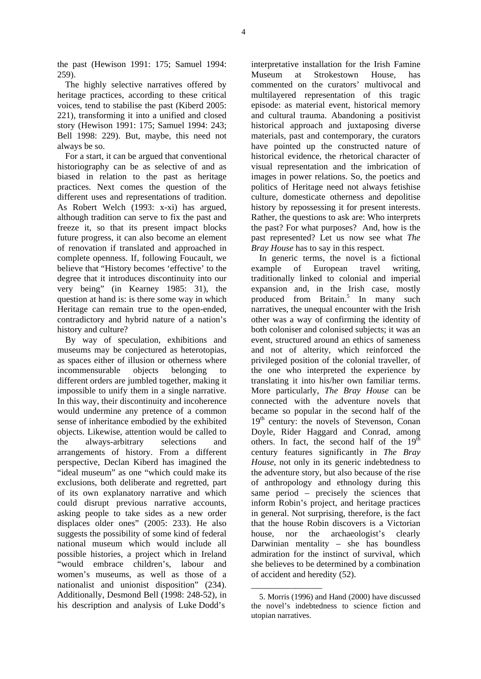the past (Hewison 1991: 175; Samuel 1994: 259).

The highly selective narratives offered by heritage practices, according to these critical voices, tend to stabilise the past (Kiberd 2005: 221), transforming it into a unified and closed story (Hewison 1991: 175; Samuel 1994: 243; Bell 1998: 229). But, maybe, this need not always be so.

For a start, it can be argued that conventional historiography can be as selective of and as biased in relation to the past as heritage practices. Next comes the question of the different uses and representations of tradition. As Robert Welch (1993: x-xi) has argued, although tradition can serve to fix the past and freeze it, so that its present impact blocks future progress, it can also become an element of renovation if translated and approached in complete openness. If, following Foucault, we believe that "History becomes 'effective' to the degree that it introduces discontinuity into our very being" (in Kearney 1985: 31), the question at hand is: is there some way in which Heritage can remain true to the open-ended, contradictory and hybrid nature of a nation's history and culture?

By way of speculation, exhibitions and museums may be conjectured as heterotopias, as spaces either of illusion or otherness where incommensurable objects belonging to different orders are jumbled together, making it impossible to unify them in a single narrative. In this way, their discontinuity and incoherence would undermine any pretence of a common sense of inheritance embodied by the exhibited objects. Likewise, attention would be called to the always-arbitrary selections and arrangements of history. From a different perspective, Declan Kiberd has imagined the "ideal museum" as one "which could make its exclusions, both deliberate and regretted, part of its own explanatory narrative and which could disrupt previous narrative accounts, asking people to take sides as a new order displaces older ones" (2005: 233). He also suggests the possibility of some kind of federal national museum which would include all possible histories, a project which in Ireland "would embrace children's, labour and women's museums, as well as those of a nationalist and unionist disposition" (234). Additionally, Desmond Bell (1998: 248-52), in his description and analysis of Luke Dodd's

interpretative installation for the Irish Famine Museum at Strokestown House, has commented on the curators' multivocal and multilayered representation of this tragic episode: as material event, historical memory and cultural trauma. Abandoning a positivist historical approach and juxtaposing diverse materials, past and contemporary, the curators have pointed up the constructed nature of historical evidence, the rhetorical character of visual representation and the imbrication of images in power relations. So, the poetics and politics of Heritage need not always fetishise culture, domesticate otherness and depolitise history by repossessing it for present interests. Rather, the questions to ask are: Who interprets the past? For what purposes? And, how is the past represented? Let us now see what *The Bray House* has to say in this respect.

In generic terms, the novel is a fictional example of European travel writing, traditionally linked to colonial and imperial expansion and, in the Irish case, mostly produced from Britain.<sup>5</sup> In many such narratives, the unequal encounter with the Irish other was a way of confirming the identity of both coloniser and colonised subjects; it was an event, structured around an ethics of sameness and not of alterity, which reinforced the privileged position of the colonial traveller, of the one who interpreted the experience by translating it into his/her own familiar terms. More particularly, *The Bray House* can be connected with the adventure novels that became so popular in the second half of the  $19<sup>th</sup>$  century: the novels of Stevenson, Conan Doyle, Rider Haggard and Conrad, among others. In fact, the second half of the  $19<sup>th</sup>$ century features significantly in *The Bray House*, not only in its generic indebtedness to the adventure story, but also because of the rise of anthropology and ethnology during this same period – precisely the sciences that inform Robin's project, and heritage practices in general. Not surprising, therefore, is the fact that the house Robin discovers is a Victorian house, nor the archaeologist's clearly Darwinian mentality – she has boundless admiration for the instinct of survival, which she believes to be determined by a combination of accident and heredity (52).

\_\_\_\_\_\_\_\_\_\_\_\_\_\_\_\_

<sup>5.</sup> Morris (1996) and Hand (2000) have discussed the novel's indebtedness to science fiction and utopian narratives.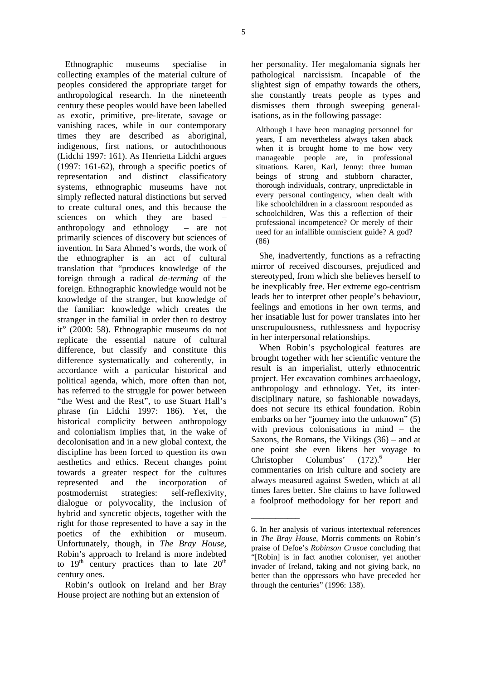Ethnographic museums specialise in collecting examples of the material culture of peoples considered the appropriate target for anthropological research. In the nineteenth century these peoples would have been labelled as exotic, primitive, pre-literate, savage or vanishing races, while in our contemporary times they are described as aboriginal, indigenous, first nations, or autochthonous (Lidchi 1997: 161). As Henrietta Lidchi argues (1997: 161-62), through a specific poetics of representation and distinct classificatory systems, ethnographic museums have not simply reflected natural distinctions but served to create cultural ones, and this because the sciences on which they are based anthropology and ethnology – are not primarily sciences of discovery but sciences of invention. In Sara Ahmed's words, the work of the ethnographer is an act of cultural translation that "produces knowledge of the foreign through a radical *de-terming* of the foreign. Ethnographic knowledge would not be knowledge of the stranger, but knowledge of the familiar: knowledge which creates the stranger in the familial in order then to destroy it" (2000: 58). Ethnographic museums do not replicate the essential nature of cultural difference, but classify and constitute this difference systematically and coherently, in accordance with a particular historical and political agenda, which, more often than not, has referred to the struggle for power between "the West and the Rest", to use Stuart Hall's phrase (in Lidchi 1997: 186). Yet, the historical complicity between anthropology and colonialism implies that, in the wake of decolonisation and in a new global context, the discipline has been forced to question its own aesthetics and ethics. Recent changes point towards a greater respect for the cultures represented and the incorporation of postmodernist strategies: self-reflexivity, dialogue or polyvocality, the inclusion of hybrid and syncretic objects, together with the right for those represented to have a say in the poetics of the exhibition or museum. Unfortunately, though, in *The Bray House*, Robin's approach to Ireland is more indebted to  $19<sup>th</sup>$  century practices than to late  $20<sup>th</sup>$ century ones.

Robin's outlook on Ireland and her Bray House project are nothing but an extension of

her personality. Her megalomania signals her pathological narcissism. Incapable of the slightest sign of empathy towards the others, she constantly treats people as types and dismisses them through sweeping generalisations, as in the following passage:

Although I have been managing personnel for years, I am nevertheless always taken aback when it is brought home to me how very manageable people are, in professional situations. Karen, Karl, Jenny: three human beings of strong and stubborn character, thorough individuals, contrary, unpredictable in every personal contingency, when dealt with like schoolchildren in a classroom responded as schoolchildren, Was this a reflection of their professional incompetence? Or merely of their need for an infallible omniscient guide? A god? (86)

She, inadvertently, functions as a refracting mirror of received discourses, prejudiced and stereotyped, from which she believes herself to be inexplicably free. Her extreme ego-centrism leads her to interpret other people's behaviour, feelings and emotions in her own terms, and her insatiable lust for power translates into her unscrupulousness, ruthlessness and hypocrisy in her interpersonal relationships.

When Robin's psychological features are brought together with her scientific venture the result is an imperialist, utterly ethnocentric project. Her excavation combines archaeology, anthropology and ethnology. Yet, its interdisciplinary nature, so fashionable nowadays, does not secure its ethical foundation. Robin embarks on her "journey into the unknown" (5) with previous colonisations in mind – the Saxons, the Romans, the Vikings (36) – and at one point she even likens her voyage to Christopher Columbus'  $(172)$ .<sup>6</sup> Her commentaries on Irish culture and society are always measured against Sweden, which at all times fares better. She claims to have followed a foolproof methodology for her report and

\_\_\_\_\_\_\_\_\_\_\_\_

<sup>6.</sup> In her analysis of various intertextual references in *The Bray House*, Morris comments on Robin's praise of Defoe's *Robinson Crusoe* concluding that "[Robin] is in fact another coloniser, yet another invader of Ireland, taking and not giving back, no better than the oppressors who have preceded her through the centuries" (1996: 138).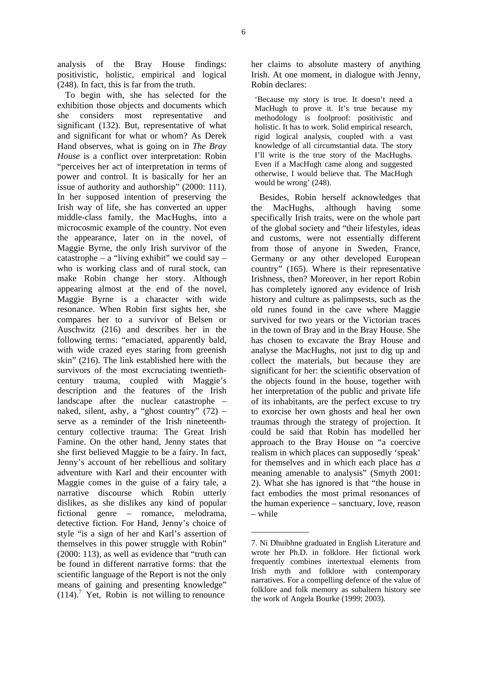analysis of the Bray House findings: positivistic, holistic, empirical and logical (248). In fact, this is far from the truth.

To begin with, she has selected for the exhibition those objects and documents which she considers most representative and significant (132). But, representative of what and significant for what or whom? As Derek Hand observes, what is going on in *The Bray House* is a conflict over interpretation: Robin "perceives her act of interpretation in terms of power and control. It is basically for her an issue of authority and authorship" (2000: 111). In her supposed intention of preserving the Irish way of life, she has converted an upper middle-class family, the MacHughs, into a microcosmic example of the country. Not even the appearance, later on in the novel, of Maggie Byrne, the only Irish survivor of the catastrophe – a "living exhibit" we could say – who is working class and of rural stock, can make Robin change her story. Although appearing almost at the end of the novel, Maggie Byrne is a character with wide resonance. When Robin first sights her, she compares her to a survivor of Belsen or Auschwitz (216) and describes her in the following terms: "emaciated, apparently bald, with wide crazed eyes staring from greenish skin" (216). The link established here with the survivors of the most excruciating twentiethcentury trauma, coupled with Maggie's description and the features of the Irish landscape after the nuclear catastrophe – naked, silent, ashy, a "ghost country" (72) – serve as a reminder of the Irish nineteenthcentury collective trauma: The Great Irish Famine. On the other hand, Jenny states that she first believed Maggie to be a fairy. In fact, Jenny's account of her rebellious and solitary adventure with Karl and their encounter with Maggie comes in the guise of a fairy tale, a narrative discourse which Robin utterly dislikes, as she dislikes any kind of popular fictional genre – romance, melodrama, detective fiction. For Hand, Jenny's choice of style "is a sign of her and Karl's assertion of themselves in this power struggle with Robin" (2000: 113), as well as evidence that "truth can be found in different narrative forms: that the scientific language of the Report is not the only means of gaining and presenting knowledge"  $(114).$ <sup>7</sup> Yet, Robin is not willing to renounce

her claims to absolute mastery of anything Irish. At one moment, in dialogue with Jenny, Robin declares:

'Because my story is true. It doesn't need a MacHugh to prove it. It's true because my methodology is foolproof: positivistic and holistic. It has to work. Solid empirical research, rigid logical analysis, coupled with a vast knowledge of all circumstantial data. The story I'll write is the true story of the MacHughs. Even if a MacHugh came along and suggested otherwise, I would believe that. The MacHugh would be wrong' (248).

Besides, Robin herself acknowledges that the MacHughs, although having some specifically Irish traits, were on the whole part of the global society and "their lifestyles, ideas and customs, were not essentially different from those of anyone in Sweden, France, Germany or any other developed European country" (165). Where is their representative Irishness, then? Moreover, in her report Robin has completely ignored any evidence of Irish history and culture as palimpsests, such as the old runes found in the cave where Maggie survived for two years or the Victorian traces in the town of Bray and in the Bray House. She has chosen to excavate the Bray House and analyse the MacHughs, not just to dig up and collect the materials, but because they are significant for her: the scientific observation of the objects found in the house, together with her interpretation of the public and private life of its inhabitants, are the perfect excuse to try to exorcise her own ghosts and heal her own traumas through the strategy of projection. It could be said that Robin has modelled her approach to the Bray House on "a coercive realism in which places can supposedly 'speak' for themselves and in which each place has *a* meaning amenable to analysis" (Smyth 2001: 2). What she has ignored is that "the house in fact embodies the most primal resonances of the human experience – sanctuary, love, reason – while

\_\_\_\_\_\_\_\_\_\_\_\_\_

<sup>7.</sup> Ní Dhuibhne graduated in English Literature and wrote her Ph.D. in folklore. Her fictional work frequently combines intertextual elements from Irish myth and folklore with contemporary narratives. For a compelling defence of the value of folklore and folk memory as subaltern history see the work of Angela Bourke (1999; 2003).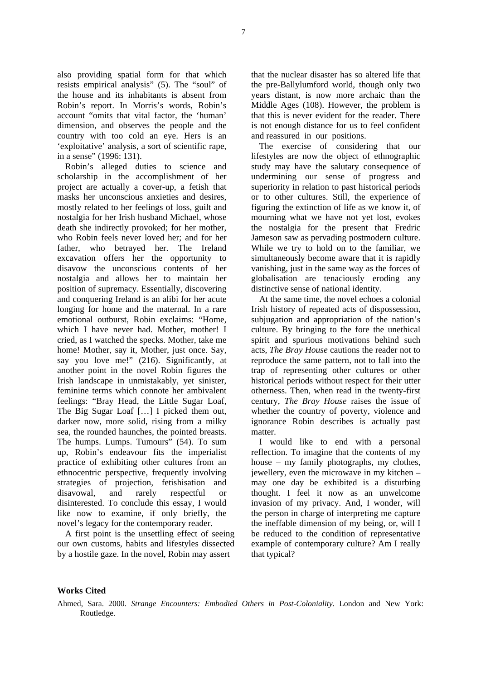also providing spatial form for that which resists empirical analysis" (5). The "soul" of the house and its inhabitants is absent from Robin's report. In Morris's words, Robin's account "omits that vital factor, the 'human' dimension, and observes the people and the country with too cold an eye. Hers is an 'exploitative' analysis, a sort of scientific rape, in a sense" (1996: 131).

Robin's alleged duties to science and scholarship in the accomplishment of her project are actually a cover-up, a fetish that masks her unconscious anxieties and desires, mostly related to her feelings of loss, guilt and nostalgia for her Irish husband Michael, whose death she indirectly provoked; for her mother, who Robin feels never loved her; and for her father, who betrayed her. The Ireland excavation offers her the opportunity to disavow the unconscious contents of her nostalgia and allows her to maintain her position of supremacy. Essentially, discovering and conquering Ireland is an alibi for her acute longing for home and the maternal. In a rare emotional outburst, Robin exclaims: "Home, which I have never had. Mother, mother! I cried, as I watched the specks. Mother, take me home! Mother, say it, Mother, just once. Say, say you love me!" (216). Significantly, at another point in the novel Robin figures the Irish landscape in unmistakably, yet sinister, feminine terms which connote her ambivalent feelings: "Bray Head, the Little Sugar Loaf, The Big Sugar Loaf […] I picked them out, darker now, more solid, rising from a milky sea, the rounded haunches, the pointed breasts. The humps. Lumps. Tumours" (54). To sum up, Robin's endeavour fits the imperialist practice of exhibiting other cultures from an ethnocentric perspective, frequently involving strategies of projection, fetishisation and disavowal, and rarely respectful or disinterested. To conclude this essay, I would like now to examine, if only briefly, the novel's legacy for the contemporary reader.

A first point is the unsettling effect of seeing our own customs, habits and lifestyles dissected by a hostile gaze. In the novel, Robin may assert

that the nuclear disaster has so altered life that the pre-Ballylumford world, though only two years distant, is now more archaic than the Middle Ages (108). However, the problem is that this is never evident for the reader. There is not enough distance for us to feel confident and reassured in our positions.

The exercise of considering that our lifestyles are now the object of ethnographic study may have the salutary consequence of undermining our sense of progress and superiority in relation to past historical periods or to other cultures. Still, the experience of figuring the extinction of life as we know it, of mourning what we have not yet lost, evokes the nostalgia for the present that Fredric Jameson saw as pervading postmodern culture. While we try to hold on to the familiar, we simultaneously become aware that it is rapidly vanishing, just in the same way as the forces of globalisation are tenaciously eroding any distinctive sense of national identity.

At the same time, the novel echoes a colonial Irish history of repeated acts of dispossession, subjugation and appropriation of the nation's culture. By bringing to the fore the unethical spirit and spurious motivations behind such acts, *The Bray House* cautions the reader not to reproduce the same pattern, not to fall into the trap of representing other cultures or other historical periods without respect for their utter otherness. Then, when read in the twenty-first century, *The Bray House* raises the issue of whether the country of poverty, violence and ignorance Robin describes is actually past matter.

I would like to end with a personal reflection. To imagine that the contents of my house – my family photographs, my clothes, jewellery, even the microwave in my kitchen – may one day be exhibited is a disturbing thought. I feel it now as an unwelcome invasion of my privacy. And, I wonder, will the person in charge of interpreting me capture the ineffable dimension of my being, or, will I be reduced to the condition of representative example of contemporary culture? Am I really that typical?

## **Works Cited**

Ahmed, Sara. 2000. *Strange Encounters: Embodied Others in Post-Coloniality*. London and New York: Routledge.